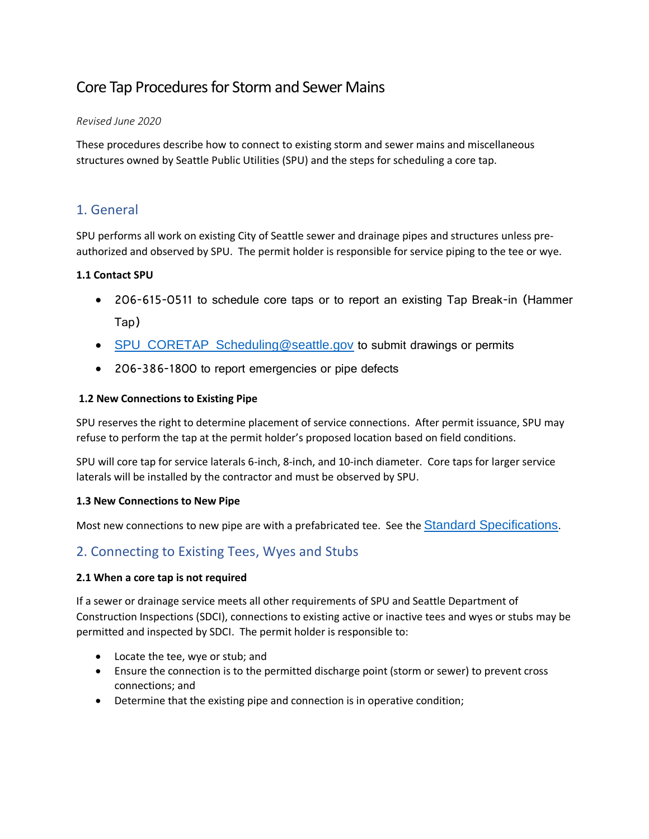# Core Tap Procedures for Storm and Sewer Mains

#### *Revised June 2020*

These procedures describe how to connect to existing storm and sewer mains and miscellaneous structures owned by Seattle Public Utilities (SPU) and the steps for scheduling a core tap.

## 1. General

SPU performs all work on existing City of Seattle sewer and drainage pipes and structures unless preauthorized and observed by SPU. The permit holder is responsible for service piping to the tee or wye.

#### **1.1 Contact SPU**

- 206-615-0511 to schedule core taps or to report an existing Tap Break-in (Hammer Tap)
- [SPU\\_CORETAP\\_Scheduling@seattle.gov](mailto:SPU_CORETAP_Scheduling@seattle.gov) to submit drawings or permits
- 206-386-1800 to report emergencies or pipe defects

#### **1.2 New Connections to Existing Pipe**

SPU reserves the right to determine placement of service connections. After permit issuance, SPU may refuse to perform the tap at the permit holder's proposed location based on field conditions.

SPU will core tap for service laterals 6-inch, 8-inch, and 10-inch diameter. Core taps for larger service laterals will be installed by the contractor and must be observed by SPU.

#### **1.3 New Connections to New Pipe**

Most new connections to new pipe are with a prefabricated tee. See the [Standard Specifications](http://www.seattle.gov/util/cs/groups/public/@spu/@engineering/documents/webcontent/2_035032.pdf).

## 2. Connecting to Existing Tees, Wyes and Stubs

#### **2.1 When a core tap is not required**

If a sewer or drainage service meets all other requirements of SPU and Seattle Department of Construction Inspections (SDCI), connections to existing active or inactive tees and wyes or stubs may be permitted and inspected by SDCI. The permit holder is responsible to:

- Locate the tee, wye or stub; and
- Ensure the connection is to the permitted discharge point (storm or sewer) to prevent cross connections; and
- Determine that the existing pipe and connection is in operative condition;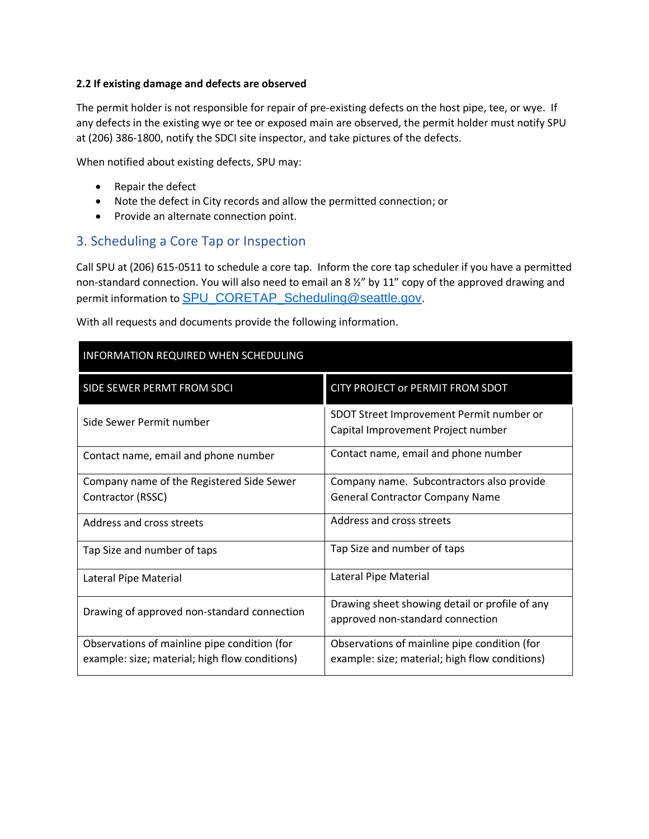#### **2.2 If existing damage and defects are observed**

The permit holder is not responsible for repair of pre-existing defects on the host pipe, tee, or wye. If any defects in the existing wye or tee or exposed main are observed, the permit holder must notify SPU at (206) 386-1800, notify the SDCI site inspector, and take pictures of the defects.

When notified about existing defects, SPU may:

- Repair the defect
- Note the defect in City records and allow the permitted connection; or
- Provide an alternate connection point.

## 3. Scheduling a Core Tap or Inspection

Call SPU at (206) 615-0511 to schedule a core tap. Inform the core tap scheduler if you have a permitted non-standard connection. You will also need to email an 8  $\frac{1}{2}$ " by 11" copy of the approved drawing and permit information to [SPU\\_CORETAP\\_Scheduling@seattle.gov](mailto:SPU_CORETAP_Scheduling@seattle.gov).

| INFORMATION REQUIRED WHEN SCHEDULING           |                                                                                    |  |  |  |
|------------------------------------------------|------------------------------------------------------------------------------------|--|--|--|
| SIDE SEWER PERMT FROM SDCI                     | <b>CITY PROJECT or PERMIT FROM SDOT</b>                                            |  |  |  |
| Side Sewer Permit number                       | SDOT Street Improvement Permit number or<br>Capital Improvement Project number     |  |  |  |
| Contact name, email and phone number           | Contact name, email and phone number                                               |  |  |  |
| Company name of the Registered Side Sewer      | Company name. Subcontractors also provide                                          |  |  |  |
| Contractor (RSSC)                              | <b>General Contractor Company Name</b>                                             |  |  |  |
| Address and cross streets                      | Address and cross streets                                                          |  |  |  |
| Tap Size and number of taps                    | Tap Size and number of taps                                                        |  |  |  |
| Lateral Pipe Material                          | Lateral Pipe Material                                                              |  |  |  |
| Drawing of approved non-standard connection    | Drawing sheet showing detail or profile of any<br>approved non-standard connection |  |  |  |
| Observations of mainline pipe condition (for   | Observations of mainline pipe condition (for                                       |  |  |  |
| example: size; material; high flow conditions) | example: size; material; high flow conditions)                                     |  |  |  |

With all requests and documents provide the following information.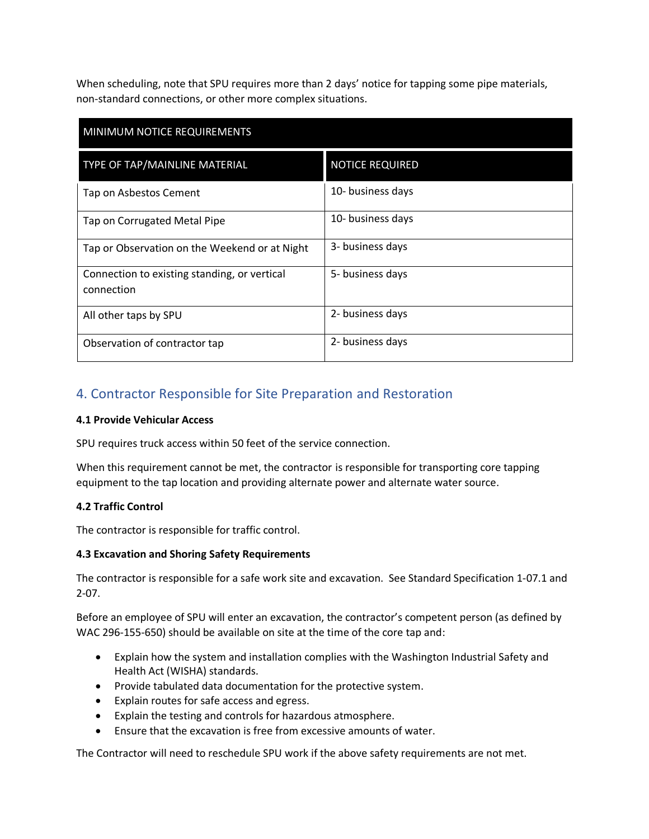When scheduling, note that SPU requires more than 2 days' notice for tapping some pipe materials, non-standard connections, or other more complex situations.

| MINIMUM NOTICE REQUIREMENTS                                |                        |  |  |
|------------------------------------------------------------|------------------------|--|--|
| TYPE OF TAP/MAINLINE MATERIAL                              | <b>NOTICE REQUIRED</b> |  |  |
| Tap on Asbestos Cement                                     | 10- business days      |  |  |
| Tap on Corrugated Metal Pipe                               | 10- business days      |  |  |
| Tap or Observation on the Weekend or at Night              | 3- business days       |  |  |
| Connection to existing standing, or vertical<br>connection | 5- business days       |  |  |
| All other taps by SPU                                      | 2- business days       |  |  |
| Observation of contractor tap                              | 2- business days       |  |  |

## 4. Contractor Responsible for Site Preparation and Restoration

### **4.1 Provide Vehicular Access**

SPU requires truck access within 50 feet of the service connection.

When this requirement cannot be met, the contractor is responsible for transporting core tapping equipment to the tap location and providing alternate power and alternate water source.

### **4.2 Traffic Control**

The contractor is responsible for traffic control.

#### **4.3 Excavation and Shoring Safety Requirements**

The contractor is responsible for a safe work site and excavation. See Standard Specification 1-07.1 and 2-07.

Before an employee of SPU will enter an excavation, the contractor's competent person (as defined by WAC 296-155-650) should be available on site at the time of the core tap and:

- Explain how the system and installation complies with the Washington Industrial Safety and Health Act (WISHA) standards.
- Provide tabulated data documentation for the protective system.
- Explain routes for safe access and egress.
- Explain the testing and controls for hazardous atmosphere.
- Ensure that the excavation is free from excessive amounts of water.

The Contractor will need to reschedule SPU work if the above safety requirements are not met.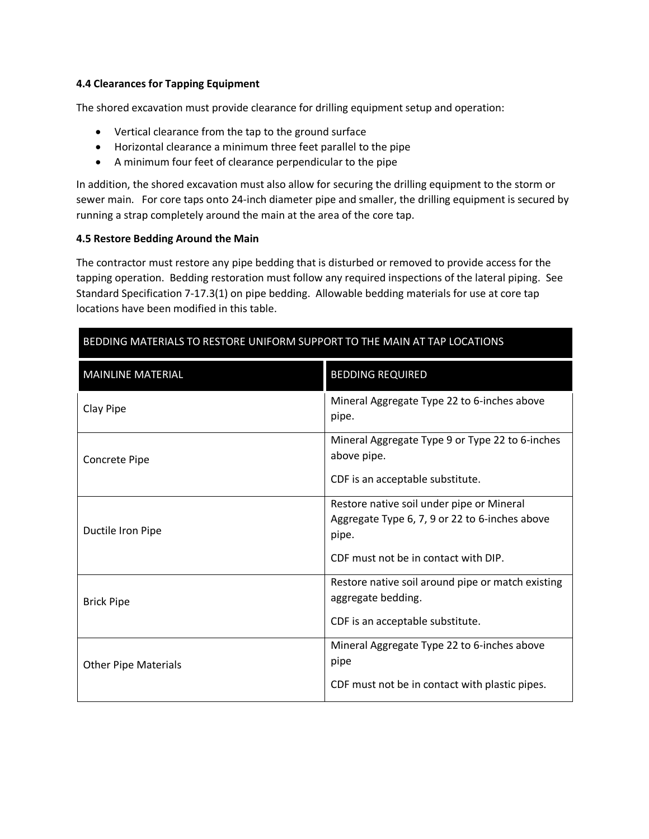#### **4.4 Clearances for Tapping Equipment**

The shored excavation must provide clearance for drilling equipment setup and operation:

- Vertical clearance from the tap to the ground surface
- Horizontal clearance a minimum three feet parallel to the pipe
- A minimum four feet of clearance perpendicular to the pipe

In addition, the shored excavation must also allow for securing the drilling equipment to the storm or sewer main. For core taps onto 24-inch diameter pipe and smaller, the drilling equipment is secured by running a strap completely around the main at the area of the core tap.

#### **4.5 Restore Bedding Around the Main**

The contractor must restore any pipe bedding that is disturbed or removed to provide access for the tapping operation. Bedding restoration must follow any required inspections of the lateral piping. See Standard Specification 7-17.3(1) on pipe bedding. Allowable bedding materials for use at core tap locations have been modified in this table.

| BEDDING MATERIALS TO RESTORE UNIFORM SUPPORT TO THE MAIN AT TAP LOCATIONS |                                                                                                                                              |  |  |  |
|---------------------------------------------------------------------------|----------------------------------------------------------------------------------------------------------------------------------------------|--|--|--|
| <b>MAINLINE MATERIAL</b>                                                  | <b>BEDDING REQUIRED</b>                                                                                                                      |  |  |  |
| Clay Pipe                                                                 | Mineral Aggregate Type 22 to 6-inches above<br>pipe.                                                                                         |  |  |  |
| Concrete Pipe                                                             | Mineral Aggregate Type 9 or Type 22 to 6-inches<br>above pipe.<br>CDF is an acceptable substitute.                                           |  |  |  |
| Ductile Iron Pipe                                                         | Restore native soil under pipe or Mineral<br>Aggregate Type 6, 7, 9 or 22 to 6-inches above<br>pipe.<br>CDF must not be in contact with DIP. |  |  |  |
| <b>Brick Pipe</b>                                                         | Restore native soil around pipe or match existing<br>aggregate bedding.<br>CDF is an acceptable substitute.                                  |  |  |  |
| <b>Other Pipe Materials</b>                                               | Mineral Aggregate Type 22 to 6-inches above<br>pipe<br>CDF must not be in contact with plastic pipes.                                        |  |  |  |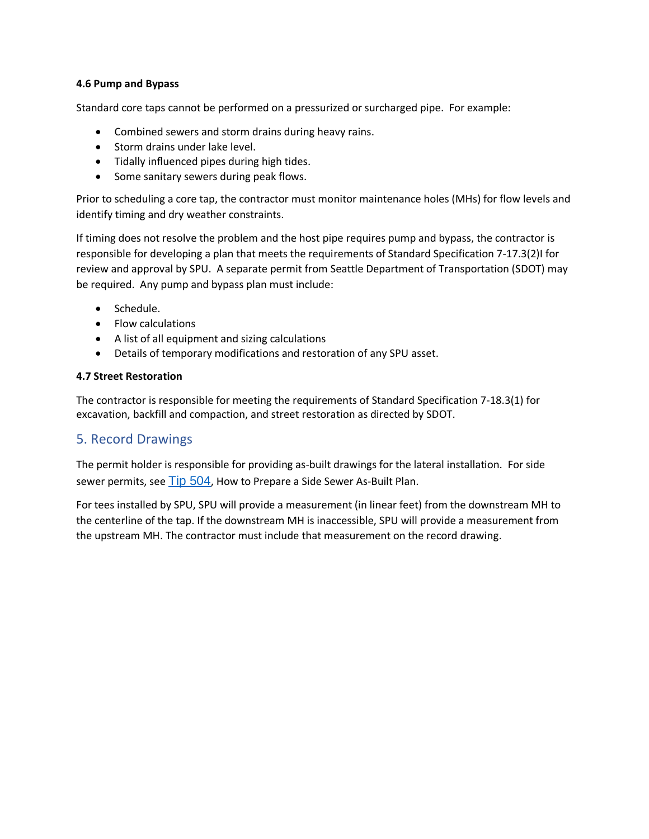#### **4.6 Pump and Bypass**

Standard core taps cannot be performed on a pressurized or surcharged pipe. For example:

- Combined sewers and storm drains during heavy rains.
- Storm drains under lake level.
- Tidally influenced pipes during high tides.
- Some sanitary sewers during peak flows.

Prior to scheduling a core tap, the contractor must monitor maintenance holes (MHs) for flow levels and identify timing and dry weather constraints.

If timing does not resolve the problem and the host pipe requires pump and bypass, the contractor is responsible for developing a plan that meets the requirements of Standard Specification 7-17.3(2)I for review and approval by SPU. A separate permit from Seattle Department of Transportation (SDOT) may be required. Any pump and bypass plan must include:

- Schedule.
- Flow calculations
- A list of all equipment and sizing calculations
- Details of temporary modifications and restoration of any SPU asset.

#### **4.7 Street Restoration**

The contractor is responsible for meeting the requirements of Standard Specification 7-18.3(1) for excavation, backfill and compaction, and street restoration as directed by SDOT.

### 5. Record Drawings

The permit holder is responsible for providing as-built drawings for the lateral installation. For side sewer permits, see [Tip 504](http://web6.seattle.gov/dpd/cams/camdetail.aspx?cn=504), How to Prepare a Side Sewer As-Built Plan.

For tees installed by SPU, SPU will provide a measurement (in linear feet) from the downstream MH to the centerline of the tap. If the downstream MH is inaccessible, SPU will provide a measurement from the upstream MH. The contractor must include that measurement on the record drawing.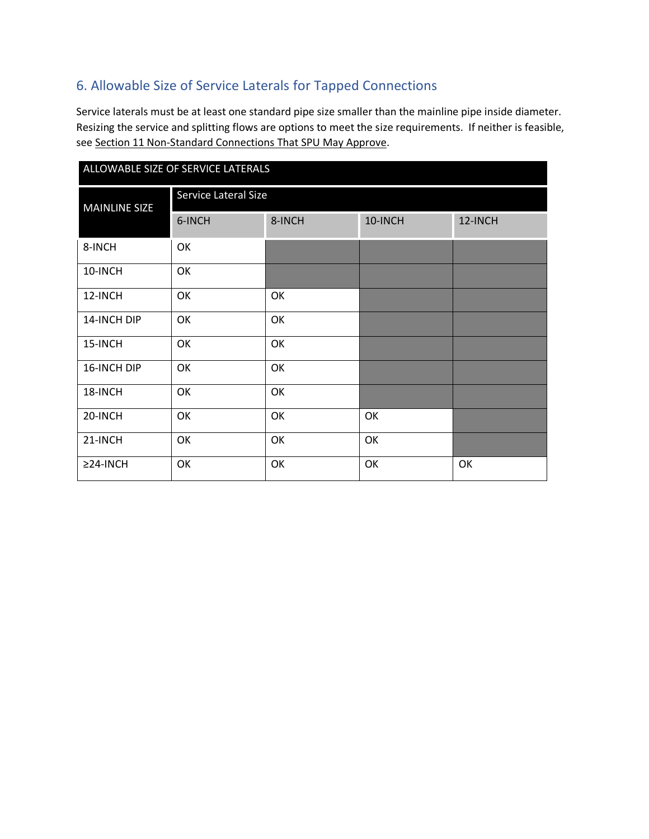## 6. Allowable Size of Service Laterals for Tapped Connections

Service laterals must be at least one standard pipe size smaller than the mainline pipe inside diameter. Resizing the service and splitting flows are options to meet the size requirements. If neither is feasible, see Section 11 Non-Standard Connections That SPU May Approve.

| ALLOWABLE SIZE OF SERVICE LATERALS |                      |        |         |         |  |  |
|------------------------------------|----------------------|--------|---------|---------|--|--|
| <b>MAINLINE SIZE</b>               | Service Lateral Size |        |         |         |  |  |
|                                    | 6-INCH               | 8-INCH | 10-INCH | 12-INCH |  |  |
| 8-INCH                             | OK                   |        |         |         |  |  |
| 10-INCH                            | OK                   |        |         |         |  |  |
| 12-INCH                            | OK                   | OK     |         |         |  |  |
| 14-INCH DIP                        | OK                   | OK     |         |         |  |  |
| 15-INCH                            | OK                   | OK     |         |         |  |  |
| 16-INCH DIP                        | OK                   | OK     |         |         |  |  |
| 18-INCH                            | OK                   | OK     |         |         |  |  |
| 20-INCH                            | OK                   | OK     | OK      |         |  |  |
| 21-INCH                            | OK                   | OK     | OK      |         |  |  |
| $\geq$ 24-INCH                     | OK                   | OK     | OK      | OK      |  |  |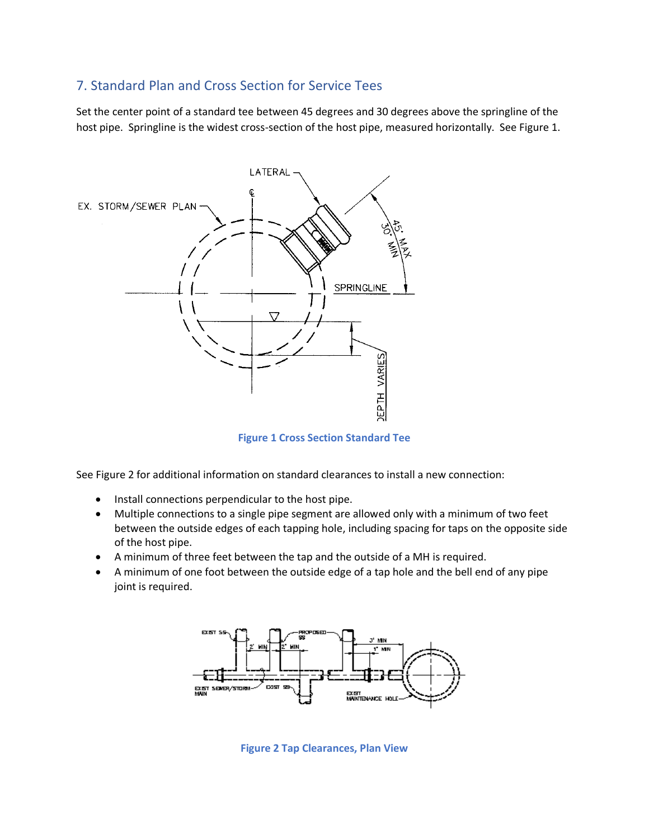## 7. Standard Plan and Cross Section for Service Tees

Set the center point of a standard tee between 45 degrees and 30 degrees above the springline of the host pipe. Springline is the widest cross-section of the host pipe, measured horizontally. See Figure 1.



**Figure 1 Cross Section Standard Tee**

See Figure 2 for additional information on standard clearances to install a new connection:

- Install connections perpendicular to the host pipe.
- Multiple connections to a single pipe segment are allowed only with a minimum of two feet between the outside edges of each tapping hole, including spacing for taps on the opposite side of the host pipe.
- A minimum of three feet between the tap and the outside of a MH is required.
- A minimum of one foot between the outside edge of a tap hole and the bell end of any pipe joint is required.



**Figure 2 Tap Clearances, Plan View**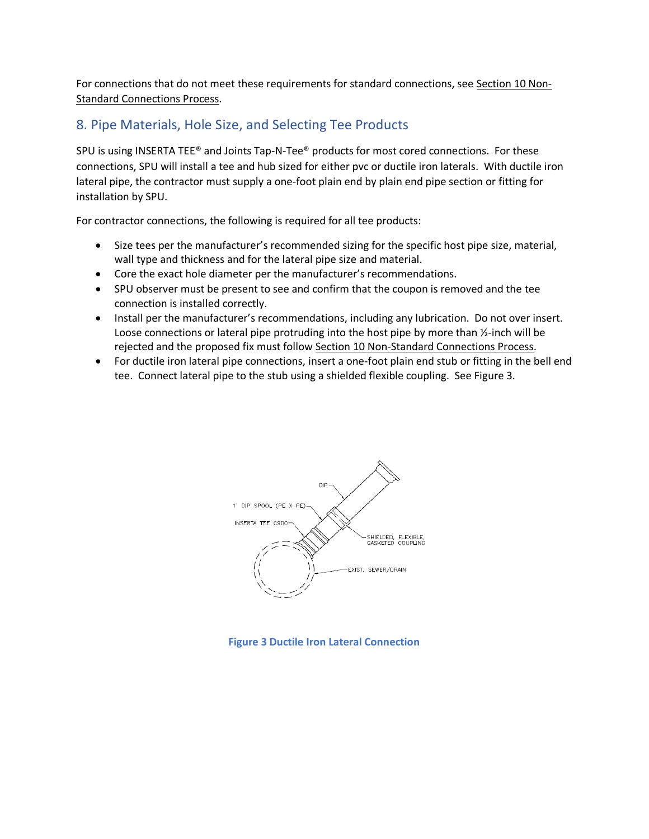For connections that do not meet these requirements for standard connections, see Section 10 Non-Standard Connections Process.

## 8. Pipe Materials, Hole Size, and Selecting Tee Products

SPU is using INSERTA TEE® and Joints Tap-N-Tee® products for most cored connections. For these connections, SPU will install a tee and hub sized for either pvc or ductile iron laterals. With ductile iron lateral pipe, the contractor must supply a one-foot plain end by plain end pipe section or fitting for installation by SPU.

For contractor connections, the following is required for all tee products:

- Size tees per the manufacturer's recommended sizing for the specific host pipe size, material, wall type and thickness and for the lateral pipe size and material.
- Core the exact hole diameter per the manufacturer's recommendations.
- SPU observer must be present to see and confirm that the coupon is removed and the tee connection is installed correctly.
- Install per the manufacturer's recommendations, including any lubrication. Do not over insert. Loose connections or lateral pipe protruding into the host pipe by more than ½-inch will be rejected and the proposed fix must follow Section 10 Non-Standard Connections Process.
- For ductile iron lateral pipe connections, insert a one-foot plain end stub or fitting in the bell end tee. Connect lateral pipe to the stub using a shielded flexible coupling. See Figure 3.



**Figure 3 Ductile Iron Lateral Connection**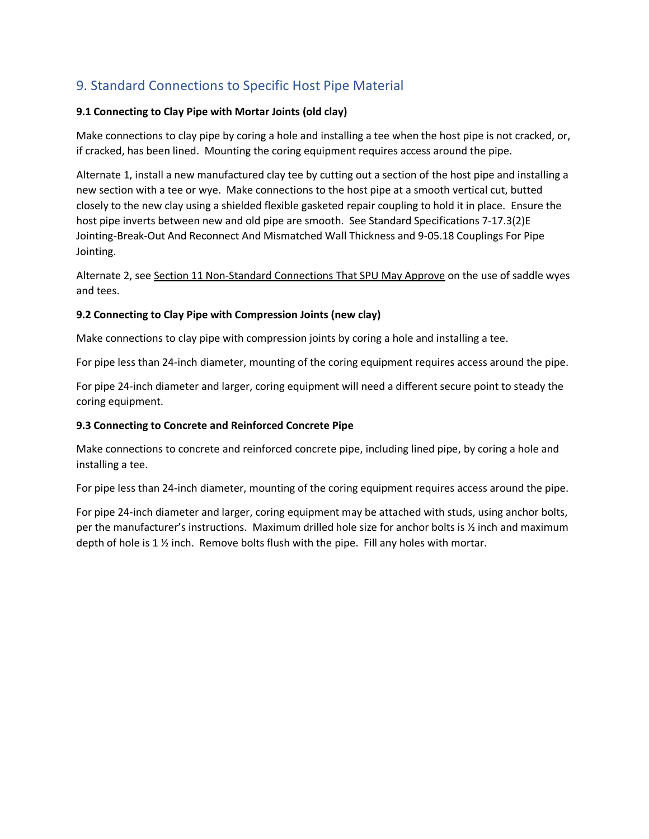## 9. Standard Connections to Specific Host Pipe Material

### **9.1 Connecting to Clay Pipe with Mortar Joints (old clay)**

Make connections to clay pipe by coring a hole and installing a tee when the host pipe is not cracked, or, if cracked, has been lined. Mounting the coring equipment requires access around the pipe.

Alternate 1, install a new manufactured clay tee by cutting out a section of the host pipe and installing a new section with a tee or wye. Make connections to the host pipe at a smooth vertical cut, butted closely to the new clay using a shielded flexible gasketed repair coupling to hold it in place. Ensure the host pipe inverts between new and old pipe are smooth. See Standard Specifications 7-17.3(2)E Jointing-Break-Out And Reconnect And Mismatched Wall Thickness and 9-05.18 Couplings For Pipe Jointing.

Alternate 2, see Section 11 Non-Standard Connections That SPU May Approve on the use of saddle wyes and tees.

#### **9.2 Connecting to Clay Pipe with Compression Joints (new clay)**

Make connections to clay pipe with compression joints by coring a hole and installing a tee.

For pipe less than 24-inch diameter, mounting of the coring equipment requires access around the pipe.

For pipe 24-inch diameter and larger, coring equipment will need a different secure point to steady the coring equipment.

### **9.3 Connecting to Concrete and Reinforced Concrete Pipe**

Make connections to concrete and reinforced concrete pipe, including lined pipe, by coring a hole and installing a tee.

For pipe less than 24-inch diameter, mounting of the coring equipment requires access around the pipe.

For pipe 24-inch diameter and larger, coring equipment may be attached with studs, using anchor bolts, per the manufacturer's instructions. Maximum drilled hole size for anchor bolts is ½ inch and maximum depth of hole is 1 ½ inch. Remove bolts flush with the pipe. Fill any holes with mortar.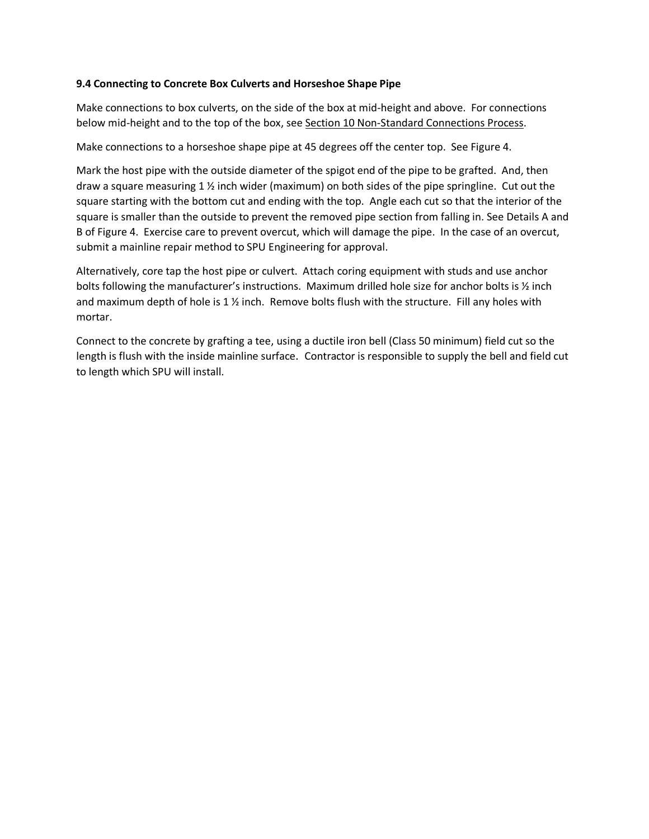#### **9.4 Connecting to Concrete Box Culverts and Horseshoe Shape Pipe**

Make connections to box culverts, on the side of the box at mid-height and above. For connections below mid-height and to the top of the box, see Section 10 Non-Standard Connections Process.

Make connections to a horseshoe shape pipe at 45 degrees off the center top. See Figure 4.

Mark the host pipe with the outside diameter of the spigot end of the pipe to be grafted. And, then draw a square measuring 1  $\frac{1}{2}$  inch wider (maximum) on both sides of the pipe springline. Cut out the square starting with the bottom cut and ending with the top. Angle each cut so that the interior of the square is smaller than the outside to prevent the removed pipe section from falling in. See Details A and B of Figure 4. Exercise care to prevent overcut, which will damage the pipe. In the case of an overcut, submit a mainline repair method to SPU Engineering for approval.

Alternatively, core tap the host pipe or culvert. Attach coring equipment with studs and use anchor bolts following the manufacturer's instructions. Maximum drilled hole size for anchor bolts is ½ inch and maximum depth of hole is 1 ½ inch. Remove bolts flush with the structure. Fill any holes with mortar.

Connect to the concrete by grafting a tee, using a ductile iron bell (Class 50 minimum) field cut so the length is flush with the inside mainline surface. Contractor is responsible to supply the bell and field cut to length which SPU will install.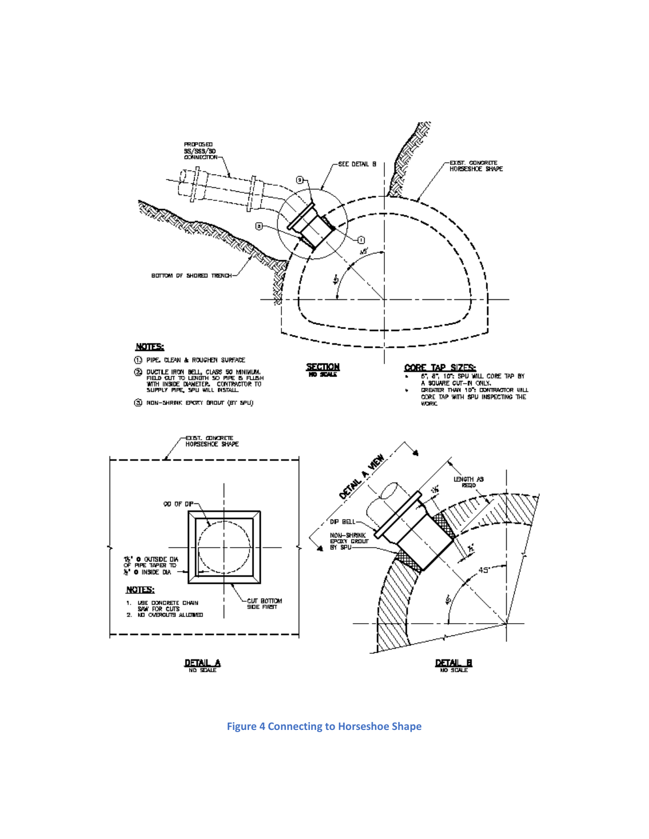

**Figure 4 Connecting to Horseshoe Shape**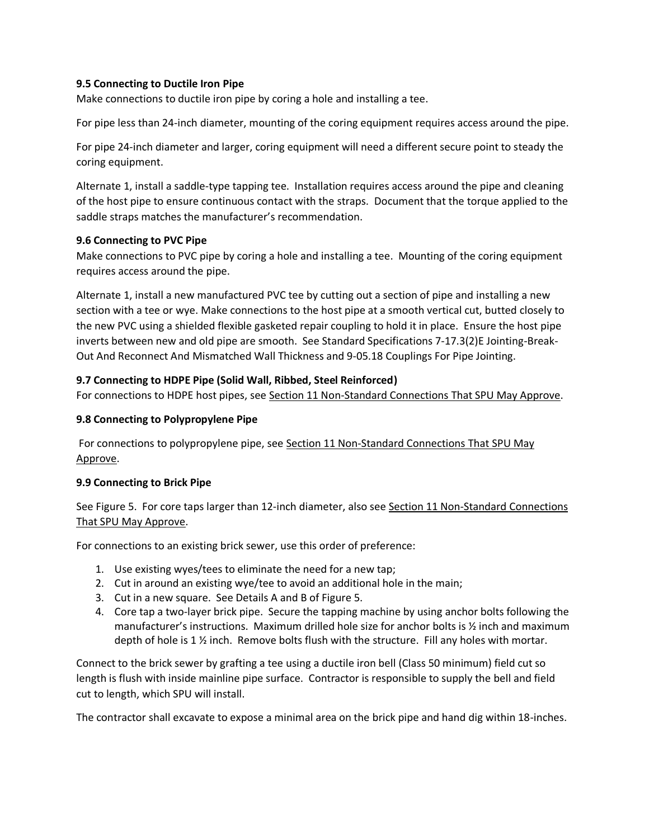#### **9.5 Connecting to Ductile Iron Pipe**

Make connections to ductile iron pipe by coring a hole and installing a tee.

For pipe less than 24-inch diameter, mounting of the coring equipment requires access around the pipe.

For pipe 24-inch diameter and larger, coring equipment will need a different secure point to steady the coring equipment.

Alternate 1, install a saddle-type tapping tee. Installation requires access around the pipe and cleaning of the host pipe to ensure continuous contact with the straps. Document that the torque applied to the saddle straps matches the manufacturer's recommendation.

#### **9.6 Connecting to PVC Pipe**

Make connections to PVC pipe by coring a hole and installing a tee. Mounting of the coring equipment requires access around the pipe.

Alternate 1, install a new manufactured PVC tee by cutting out a section of pipe and installing a new section with a tee or wye. Make connections to the host pipe at a smooth vertical cut, butted closely to the new PVC using a shielded flexible gasketed repair coupling to hold it in place. Ensure the host pipe inverts between new and old pipe are smooth. See Standard Specifications 7-17.3(2)E Jointing-Break-Out And Reconnect And Mismatched Wall Thickness and 9-05.18 Couplings For Pipe Jointing.

#### **9.7 Connecting to HDPE Pipe (Solid Wall, Ribbed, Steel Reinforced)**

For connections to HDPE host pipes, see Section 11 Non-Standard Connections That SPU May Approve.

#### **9.8 Connecting to Polypropylene Pipe**

For connections to polypropylene pipe, see Section 11 Non-Standard Connections That SPU May Approve.

#### **9.9 Connecting to Brick Pipe**

See Figure 5. For core taps larger than 12-inch diameter, also see Section 11 Non-Standard Connections That SPU May Approve.

For connections to an existing brick sewer, use this order of preference:

- 1. Use existing wyes/tees to eliminate the need for a new tap;
- 2. Cut in around an existing wye/tee to avoid an additional hole in the main;
- 3. Cut in a new square. See Details A and B of Figure 5.
- 4. Core tap a two-layer brick pipe. Secure the tapping machine by using anchor bolts following the manufacturer's instructions. Maximum drilled hole size for anchor bolts is ½ inch and maximum depth of hole is 1 ½ inch. Remove bolts flush with the structure. Fill any holes with mortar.

Connect to the brick sewer by grafting a tee using a ductile iron bell (Class 50 minimum) field cut so length is flush with inside mainline pipe surface. Contractor is responsible to supply the bell and field cut to length, which SPU will install.

The contractor shall excavate to expose a minimal area on the brick pipe and hand dig within 18-inches.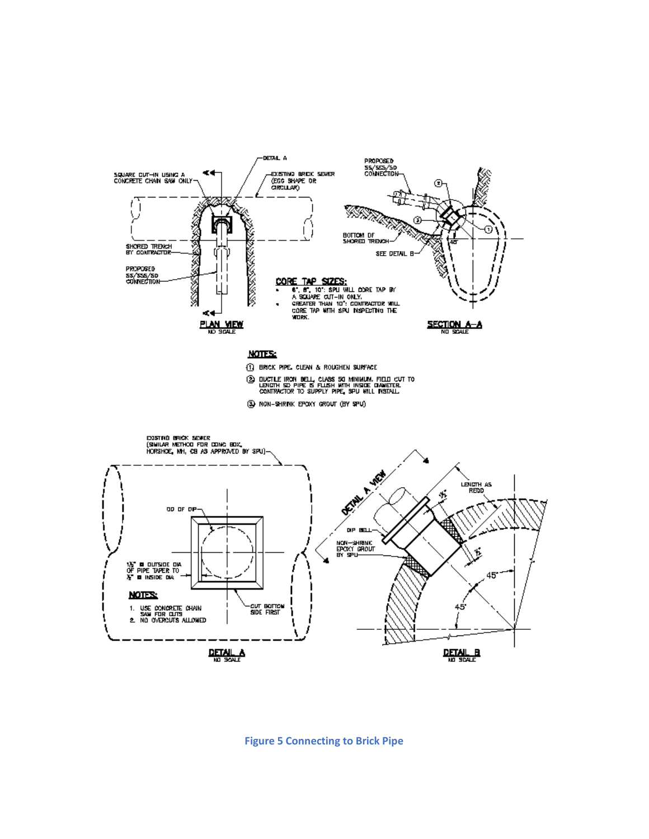

#### **Figure 5 Connecting to Brick Pipe**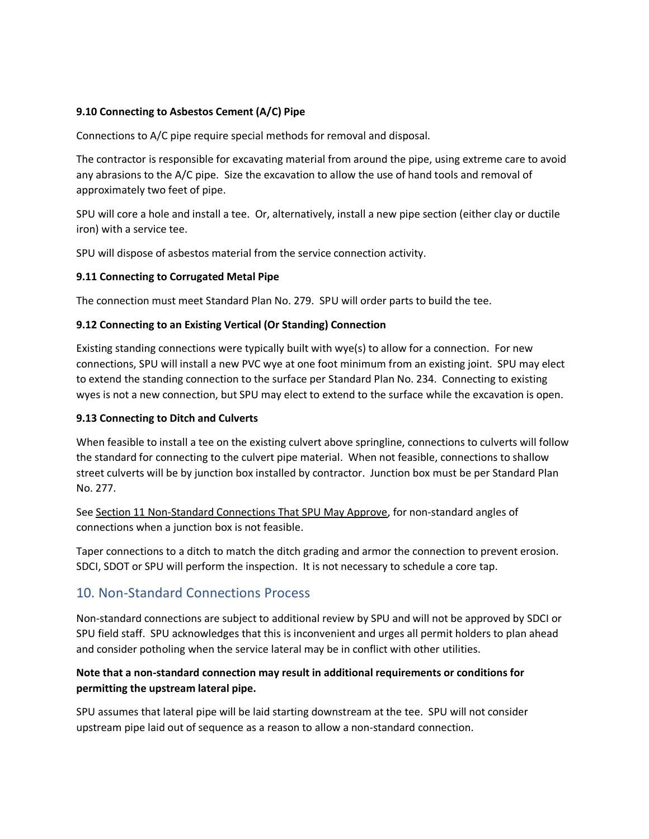#### **9.10 Connecting to Asbestos Cement (A/C) Pipe**

Connections to A/C pipe require special methods for removal and disposal.

The contractor is responsible for excavating material from around the pipe, using extreme care to avoid any abrasions to the A/C pipe. Size the excavation to allow the use of hand tools and removal of approximately two feet of pipe.

SPU will core a hole and install a tee. Or, alternatively, install a new pipe section (either clay or ductile iron) with a service tee.

SPU will dispose of asbestos material from the service connection activity.

#### **9.11 Connecting to Corrugated Metal Pipe**

The connection must meet Standard Plan No. 279. SPU will order parts to build the tee.

#### **9.12 Connecting to an Existing Vertical (Or Standing) Connection**

Existing standing connections were typically built with wye(s) to allow for a connection. For new connections, SPU will install a new PVC wye at one foot minimum from an existing joint. SPU may elect to extend the standing connection to the surface per Standard Plan No. 234. Connecting to existing wyes is not a new connection, but SPU may elect to extend to the surface while the excavation is open.

#### **9.13 Connecting to Ditch and Culverts**

When feasible to install a tee on the existing culvert above springline, connections to culverts will follow the standard for connecting to the culvert pipe material. When not feasible, connections to shallow street culverts will be by junction box installed by contractor. Junction box must be per Standard Plan No. 277.

See Section 11 Non-Standard Connections That SPU May Approve, for non-standard angles of connections when a junction box is not feasible.

Taper connections to a ditch to match the ditch grading and armor the connection to prevent erosion. SDCI, SDOT or SPU will perform the inspection. It is not necessary to schedule a core tap.

### 10. Non-Standard Connections Process

Non-standard connections are subject to additional review by SPU and will not be approved by SDCI or SPU field staff. SPU acknowledges that this is inconvenient and urges all permit holders to plan ahead and consider potholing when the service lateral may be in conflict with other utilities.

### **Note that a non-standard connection may result in additional requirements or conditions for permitting the upstream lateral pipe.**

SPU assumes that lateral pipe will be laid starting downstream at the tee. SPU will not consider upstream pipe laid out of sequence as a reason to allow a non-standard connection.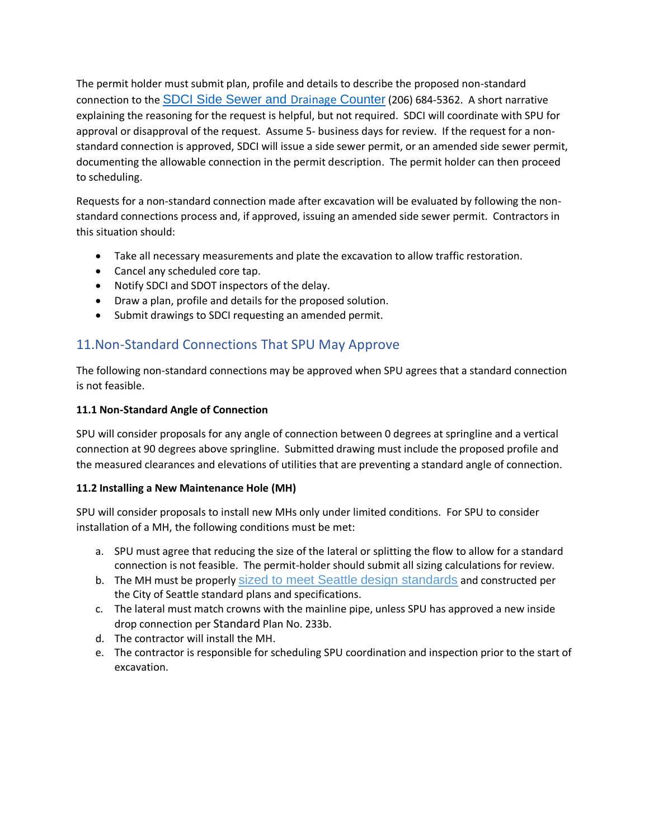The permit holder must submit plan, profile and details to describe the proposed non-standard connection to the [SDCI Side Sewer and](http://www.seattle.gov/dpd/permits/permittypes/sidesewer/default.htm) Drainage Counter (206) 684-5362. A short narrative explaining the reasoning for the request is helpful, but not required. SDCI will coordinate with SPU for approval or disapproval of the request. Assume 5- business days for review. If the request for a nonstandard connection is approved, SDCI will issue a side sewer permit, or an amended side sewer permit, documenting the allowable connection in the permit description. The permit holder can then proceed to scheduling.

Requests for a non-standard connection made after excavation will be evaluated by following the nonstandard connections process and, if approved, issuing an amended side sewer permit. Contractors in this situation should:

- Take all necessary measurements and plate the excavation to allow traffic restoration.
- Cancel any scheduled core tap.
- Notify SDCI and SDOT inspectors of the delay.
- Draw a plan, profile and details for the proposed solution.
- Submit drawings to SDCI requesting an amended permit.

## 11.Non-Standard Connections That SPU May Approve

The following non-standard connections may be approved when SPU agrees that a standard connection is not feasible.

### **11.1 Non-Standard Angle of Connection**

SPU will consider proposals for any angle of connection between 0 degrees at springline and a vertical connection at 90 degrees above springline. Submitted drawing must include the proposed profile and the measured clearances and elevations of utilities that are preventing a standard angle of connection.

#### **11.2 Installing a New Maintenance Hole (MH)**

SPU will consider proposals to install new MHs only under limited conditions. For SPU to consider installation of a MH, the following conditions must be met:

- a. SPU must agree that reducing the size of the lateral or splitting the flow to allow for a standard connection is not feasible. The permit-holder should submit all sizing calculations for review.
- b. The MH must be properly [sized to meet Seattle design standards](http://www.seattle.gov/util/cs/groups/public/@spu/@drainsew/documents/webcontent/01_017104.pdf) and constructed per the City of Seattle standard plans and specifications.
- c. The lateral must match crowns with the mainline pipe, unless SPU has approved a new inside drop connection per Standard Plan No. 233b.
- d. The contractor will install the MH.
- e. The contractor is responsible for scheduling SPU coordination and inspection prior to the start of excavation.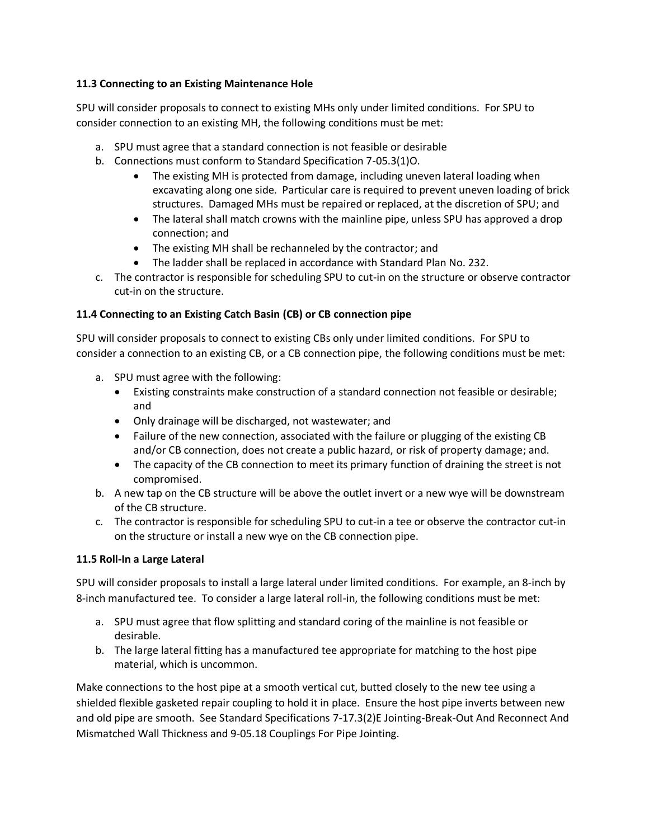#### **11.3 Connecting to an Existing Maintenance Hole**

SPU will consider proposals to connect to existing MHs only under limited conditions. For SPU to consider connection to an existing MH, the following conditions must be met:

- a. SPU must agree that a standard connection is not feasible or desirable
- b. Connections must conform to Standard Specification 7-05.3(1)O.
	- The existing MH is protected from damage, including uneven lateral loading when excavating along one side. Particular care is required to prevent uneven loading of brick structures. Damaged MHs must be repaired or replaced, at the discretion of SPU; and
	- The lateral shall match crowns with the mainline pipe, unless SPU has approved a drop connection; and
	- The existing MH shall be rechanneled by the contractor; and
	- The ladder shall be replaced in accordance with Standard Plan No. 232.
- c. The contractor is responsible for scheduling SPU to cut-in on the structure or observe contractor cut-in on the structure.

### **11.4 Connecting to an Existing Catch Basin (CB) or CB connection pipe**

SPU will consider proposals to connect to existing CBs only under limited conditions. For SPU to consider a connection to an existing CB, or a CB connection pipe, the following conditions must be met:

- a. SPU must agree with the following:
	- Existing constraints make construction of a standard connection not feasible or desirable; and
	- Only drainage will be discharged, not wastewater; and
	- Failure of the new connection, associated with the failure or plugging of the existing CB and/or CB connection, does not create a public hazard, or risk of property damage; and.
	- The capacity of the CB connection to meet its primary function of draining the street is not compromised.
- b. A new tap on the CB structure will be above the outlet invert or a new wye will be downstream of the CB structure.
- c. The contractor is responsible for scheduling SPU to cut-in a tee or observe the contractor cut-in on the structure or install a new wye on the CB connection pipe.

### **11.5 Roll-In a Large Lateral**

SPU will consider proposals to install a large lateral under limited conditions. For example, an 8-inch by 8-inch manufactured tee. To consider a large lateral roll-in, the following conditions must be met:

- a. SPU must agree that flow splitting and standard coring of the mainline is not feasible or desirable.
- b. The large lateral fitting has a manufactured tee appropriate for matching to the host pipe material, which is uncommon.

Make connections to the host pipe at a smooth vertical cut, butted closely to the new tee using a shielded flexible gasketed repair coupling to hold it in place. Ensure the host pipe inverts between new and old pipe are smooth. See Standard Specifications 7-17.3(2)E Jointing-Break-Out And Reconnect And Mismatched Wall Thickness and 9-05.18 Couplings For Pipe Jointing.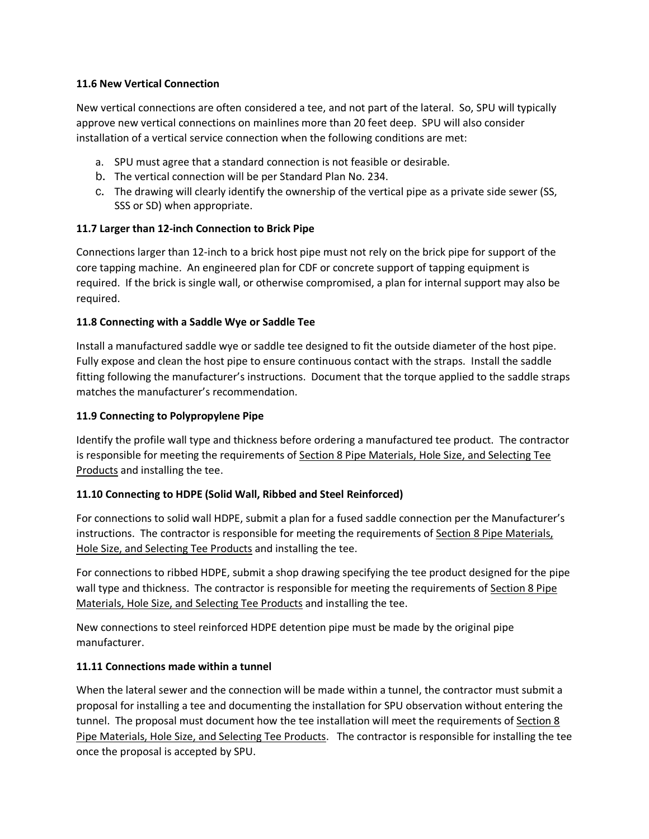#### **11.6 New Vertical Connection**

New vertical connections are often considered a tee, and not part of the lateral. So, SPU will typically approve new vertical connections on mainlines more than 20 feet deep. SPU will also consider installation of a vertical service connection when the following conditions are met:

- a. SPU must agree that a standard connection is not feasible or desirable.
- b. The vertical connection will be per Standard Plan No. 234.
- c. The drawing will clearly identify the ownership of the vertical pipe as a private side sewer (SS, SSS or SD) when appropriate.

#### **11.7 Larger than 12-inch Connection to Brick Pipe**

Connections larger than 12-inch to a brick host pipe must not rely on the brick pipe for support of the core tapping machine. An engineered plan for CDF or concrete support of tapping equipment is required. If the brick is single wall, or otherwise compromised, a plan for internal support may also be required.

#### **11.8 Connecting with a Saddle Wye or Saddle Tee**

Install a manufactured saddle wye or saddle tee designed to fit the outside diameter of the host pipe. Fully expose and clean the host pipe to ensure continuous contact with the straps. Install the saddle fitting following the manufacturer's instructions. Document that the torque applied to the saddle straps matches the manufacturer's recommendation.

#### **11.9 Connecting to Polypropylene Pipe**

Identify the profile wall type and thickness before ordering a manufactured tee product. The contractor is responsible for meeting the requirements of Section 8 Pipe Materials, Hole Size, and Selecting Tee Products and installing the tee.

#### **11.10 Connecting to HDPE (Solid Wall, Ribbed and Steel Reinforced)**

For connections to solid wall HDPE, submit a plan for a fused saddle connection per the Manufacturer's instructions. The contractor is responsible for meeting the requirements of Section 8 Pipe Materials, Hole Size, and Selecting Tee Products and installing the tee.

For connections to ribbed HDPE, submit a shop drawing specifying the tee product designed for the pipe wall type and thickness. The contractor is responsible for meeting the requirements of Section 8 Pipe Materials, Hole Size, and Selecting Tee Products and installing the tee.

New connections to steel reinforced HDPE detention pipe must be made by the original pipe manufacturer.

#### **11.11 Connections made within a tunnel**

When the lateral sewer and the connection will be made within a tunnel, the contractor must submit a proposal for installing a tee and documenting the installation for SPU observation without entering the tunnel. The proposal must document how the tee installation will meet the requirements of Section 8 Pipe Materials, Hole Size, and Selecting Tee Products. The contractor is responsible for installing the tee once the proposal is accepted by SPU.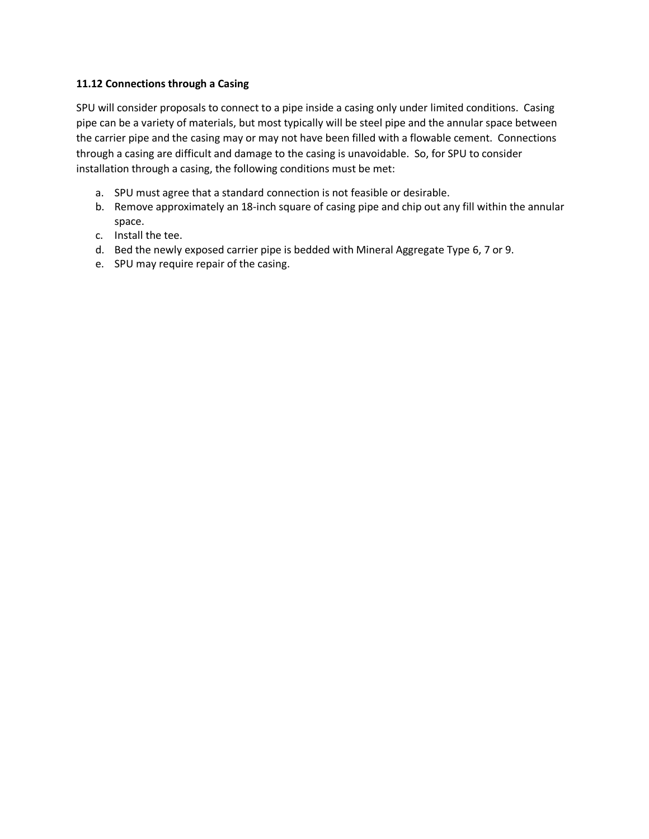#### **11.12 Connections through a Casing**

SPU will consider proposals to connect to a pipe inside a casing only under limited conditions. Casing pipe can be a variety of materials, but most typically will be steel pipe and the annular space between the carrier pipe and the casing may or may not have been filled with a flowable cement. Connections through a casing are difficult and damage to the casing is unavoidable. So, for SPU to consider installation through a casing, the following conditions must be met:

- a. SPU must agree that a standard connection is not feasible or desirable.
- b. Remove approximately an 18-inch square of casing pipe and chip out any fill within the annular space.
- c. Install the tee.
- d. Bed the newly exposed carrier pipe is bedded with Mineral Aggregate Type 6, 7 or 9.
- e. SPU may require repair of the casing.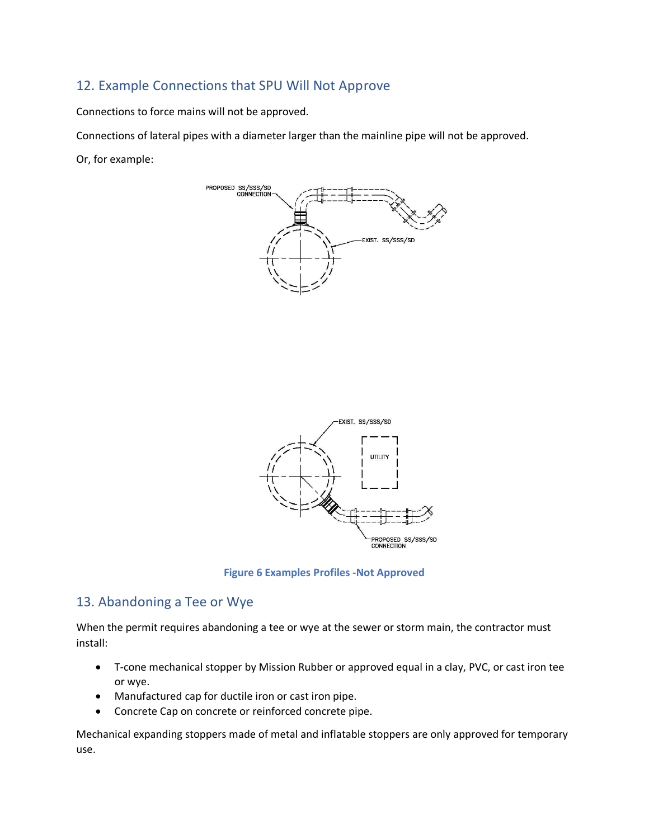## 12. Example Connections that SPU Will Not Approve

Connections to force mains will not be approved.

Connections of lateral pipes with a diameter larger than the mainline pipe will not be approved.

Or, for example:





**Figure 6 Examples Profiles -Not Approved**

## 13. Abandoning a Tee or Wye

When the permit requires abandoning a tee or wye at the sewer or storm main, the contractor must install:

- T-cone mechanical stopper by Mission Rubber or approved equal in a clay, PVC, or cast iron tee or wye.
- Manufactured cap for ductile iron or cast iron pipe.
- Concrete Cap on concrete or reinforced concrete pipe.

Mechanical expanding stoppers made of metal and inflatable stoppers are only approved for temporary use.